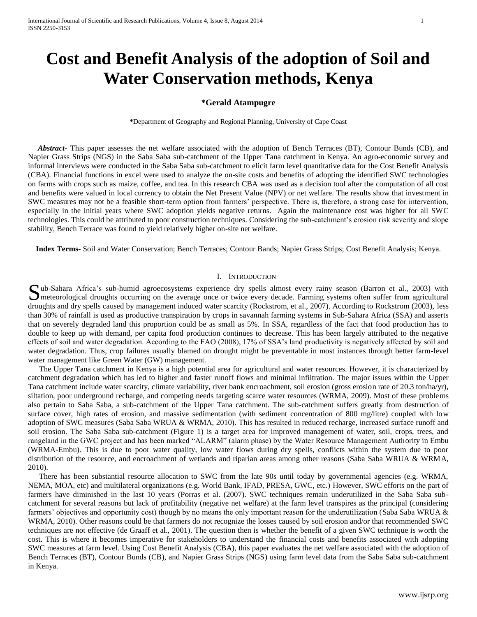# **Cost and Benefit Analysis of the adoption of Soil and Water Conservation methods, Kenya**

# **\*Gerald Atampugre**

**\***Department of Geography and Regional Planning, University of Cape Coast

 *Abstract-* This paper assesses the net welfare associated with the adoption of Bench Terraces (BT), Contour Bunds (CB), and Napier Grass Strips (NGS) in the Saba Saba sub-catchment of the Upper Tana catchment in Kenya. An agro-economic survey and informal interviews were conducted in the Saba Saba sub-catchment to elicit farm level quantitative data for the Cost Benefit Analysis (CBA). Financial functions in excel were used to analyze the on-site costs and benefits of adopting the identified SWC technologies on farms with crops such as maize, coffee, and tea. In this research CBA was used as a decision tool after the computation of all cost and benefits were valued in local currency to obtain the Net Present Value (NPV) or net welfare. The results show that investment in SWC measures may not be a feasible short-term option from farmers' perspective. There is, therefore, a strong case for intervention, especially in the initial years where SWC adoption yields negative returns. Again the maintenance cost was higher for all SWC technologies. This could be attributed to poor construction techniques. Considering the sub-catchment's erosion risk severity and slope stability, Bench Terrace was found to yield relatively higher on-site net welfare.

 **Index Terms-** Soil and Water Conservation; Bench Terraces; Contour Bands; Napier Grass Strips; Cost Benefit Analysis; Kenya.

## I. INTRODUCTION

Sub-Sahara Africa's sub-humid agroecosystems experience dry spells almost every rainy season (Barron et al., 2003) with meteorological droughts occurring on the average once or twice every decade. Farming systems often suf **I** meteorological droughts occurring on the average once or twice every decade. Farming systems often suffer from agricultural droughts and dry spells caused by management induced water scarcity (Rockstrom, et al., 2007). According to Rockstrom (2003), less than 30% of rainfall is used as productive transpiration by crops in savannah farming systems in Sub-Sahara Africa (SSA) and asserts that on severely degraded land this proportion could be as small as 5%. In SSA, regardless of the fact that food production has to double to keep up with demand, per capita food production continues to decrease. This has been largely attributed to the negative effects of soil and water degradation. According to the FAO (2008), 17% of SSA's land productivity is negatively affected by soil and water degradation. Thus, crop failures usually blamed on drought might be preventable in most instances through better farm-level water management like Green Water (GW) management.

The Upper Tana catchment in Kenya is a high potential area for agricultural and water resources. However, it is characterized by catchment degradation which has led to higher and faster runoff flows and minimal infiltration. The major issues within the Upper Tana catchment include water scarcity, climate variability, river bank encroachment, soil erosion (gross erosion rate of 20.3 ton/ha/yr), siltation, poor underground recharge, and competing needs targeting scarce water resources (WRMA, 2009). Most of these problems also pertain to Saba Saba, a sub-catchment of the Upper Tana catchment. The sub-catchment suffers greatly from destruction of surface cover, high rates of erosion, and massive sedimentation (with sediment concentration of 800 mg/litre) coupled with low adoption of SWC measures (Saba Saba WRUA & WRMA, 2010). This has resulted in reduced recharge, increased surface runoff and soil erosion. The Saba Saba sub-catchment (Figure 1) is a target area for improved management of water, soil, crops, trees, and rangeland in the GWC project and has been marked "ALARM" (alarm phase) by the Water Resource Management Authority in Embu (WRMA-Embu). This is due to poor water quality, low water flows during dry spells, conflicts within the system due to poor distribution of the resource, and encroachment of wetlands and riparian areas among other reasons (Saba Saba WRUA & WRMA, 2010).

There has been substantial resource allocation to SWC from the late 90s until today by governmental agencies (e.g. WRMA, NEMA, MOA, etc) and multilateral organizations (e.g. World Bank, IFAD, PRESA, GWC, etc.) However, SWC efforts on the part of farmers have diminished in the last 10 years (Porras et al. (2007). SWC techniques remain underutilized in the Saba Saba subcatchment for several reasons but lack of profitability (negative net welfare) at the farm level transpires as the principal (considering farmers' objectives and opportunity cost) though by no means the only important reason for the underutilization (Saba Saba WRUA & WRMA, 2010). Other reasons could be that farmers do not recognize the losses caused by soil erosion and/or that recommended SWC techniques are not effective (de Graaff et al., 2001). The question then is whether the benefit of a given SWC technique is worth the cost. This is where it becomes imperative for stakeholders to understand the financial costs and benefits associated with adopting SWC measures at farm level. Using Cost Benefit Analysis (CBA), this paper evaluates the net welfare associated with the adoption of Bench Terraces (BT), Contour Bunds (CB), and Napier Grass Strips (NGS) using farm level data from the Saba Saba sub-catchment in Kenya.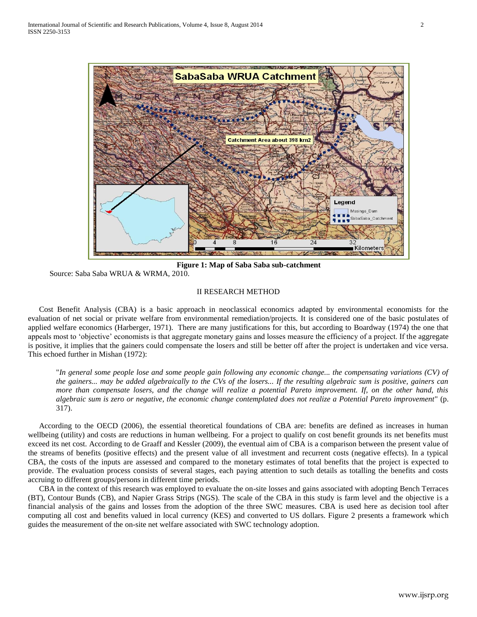

**Figure 1: Map of Saba Saba sub-catchment**

Source: Saba Saba WRUA & WRMA, 2010.

# II RESEARCH METHOD

Cost Benefit Analysis (CBA) is a basic approach in neoclassical economics adapted by environmental economists for the evaluation of net social or private welfare from environmental remediation/projects. It is considered one of the basic postulates of applied welfare economics (Harberger, 1971). There are many justifications for this, but according to Boardway (1974) the one that appeals most to 'objective' economists is that aggregate monetary gains and losses measure the efficiency of a project. If the aggregate is positive, it implies that the gainers could compensate the losers and still be better off after the project is undertaken and vice versa. This echoed further in Mishan (1972):

"*In general some people lose and some people gain following any economic change... the compensating variations (CV) of the gainers... may be added algebraically to the CVs of the losers... If the resulting algebraic sum is positive, gainers can more than compensate losers, and the change will realize a potential Pareto improvement. If, on the other hand, this algebraic sum is zero or negative, the economic change contemplated does not realize a Potential Pareto improvement*" (p. 317).

According to the OECD (2006), the essential theoretical foundations of CBA are: benefits are defined as increases in human wellbeing (utility) and costs are reductions in human wellbeing. For a project to qualify on cost benefit grounds its net benefits must exceed its net cost. According to de Graaff and Kessler (2009), the eventual aim of CBA is a comparison between the present value of the streams of benefits (positive effects) and the present value of all investment and recurrent costs (negative effects). In a typical CBA, the costs of the inputs are assessed and compared to the monetary estimates of total benefits that the project is expected to provide. The evaluation process consists of several stages, each paying attention to such details as totalling the benefits and costs accruing to different groups/persons in different time periods.

CBA in the context of this research was employed to evaluate the on-site losses and gains associated with adopting Bench Terraces (BT), Contour Bunds (CB), and Napier Grass Strips (NGS). The scale of the CBA in this study is farm level and the objective is a financial analysis of the gains and losses from the adoption of the three SWC measures. CBA is used here as decision tool after computing all cost and benefits valued in local currency (KES) and converted to US dollars. Figure 2 presents a framework which guides the measurement of the on-site net welfare associated with SWC technology adoption.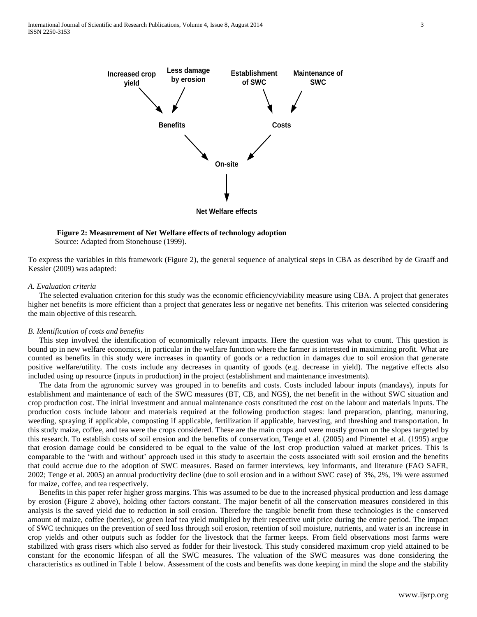

 **Figure 2: Measurement of Net Welfare effects of technology adoption** Source: Adapted from Stonehouse (1999).

To express the variables in this framework (Figure 2), the general sequence of analytical steps in CBA as described by de Graaff and Kessler (2009) was adapted:

#### *A. Evaluation criteria*

The selected evaluation criterion for this study was the economic efficiency/viability measure using CBA. A project that generates higher net benefits is more efficient than a project that generates less or negative net benefits. This criterion was selected considering the main objective of this research.

## *B. Identification of costs and benefits*

This step involved the identification of economically relevant impacts. Here the question was what to count. This question is bound up in new welfare economics, in particular in the welfare function where the farmer is interested in maximizing profit. What are counted as benefits in this study were increases in quantity of goods or a reduction in damages due to soil erosion that generate positive welfare/utility. The costs include any decreases in quantity of goods (e.g. decrease in yield). The negative effects also included using up resource (inputs in production) in the project (establishment and maintenance investments).

The data from the agronomic survey was grouped in to benefits and costs. Costs included labour inputs (mandays), inputs for establishment and maintenance of each of the SWC measures (BT, CB, and NGS), the net benefit in the without SWC situation and crop production cost. The initial investment and annual maintenance costs constituted the cost on the labour and materials inputs. The production costs include labour and materials required at the following production stages: land preparation, planting, manuring, weeding, spraying if applicable, composting if applicable, fertilization if applicable, harvesting, and threshing and transportation. In this study maize, coffee, and tea were the crops considered. These are the main crops and were mostly grown on the slopes targeted by this research. To establish costs of soil erosion and the benefits of conservation, Tenge et al. (2005) and Pimentel et al. (1995) argue that erosion damage could be considered to be equal to the value of the lost crop production valued at market prices. This is comparable to the 'with and without' approach used in this study to ascertain the costs associated with soil erosion and the benefits that could accrue due to the adoption of SWC measures. Based on farmer interviews, key informants, and literature (FAO SAFR, 2002; Tenge et al. 2005) an annual productivity decline (due to soil erosion and in a without SWC case) of 3%, 2%, 1% were assumed for maize, coffee, and tea respectively.

Benefits in this paper refer higher gross margins. This was assumed to be due to the increased physical production and less damage by erosion (Figure 2 above), holding other factors constant. The major benefit of all the conservation measures considered in this analysis is the saved yield due to reduction in soil erosion. Therefore the tangible benefit from these technologies is the conserved amount of maize, coffee (berries), or green leaf tea yield multiplied by their respective unit price during the entire period. The impact of SWC techniques on the prevention of seed loss through soil erosion, retention of soil moisture, nutrients, and water is an increase in crop yields and other outputs such as fodder for the livestock that the farmer keeps. From field observations most farms were stabilized with grass risers which also served as fodder for their livestock. This study considered maximum crop yield attained to be constant for the economic lifespan of all the SWC measures. The valuation of the SWC measures was done considering the characteristics as outlined in Table 1 below. Assessment of the costs and benefits was done keeping in mind the slope and the stability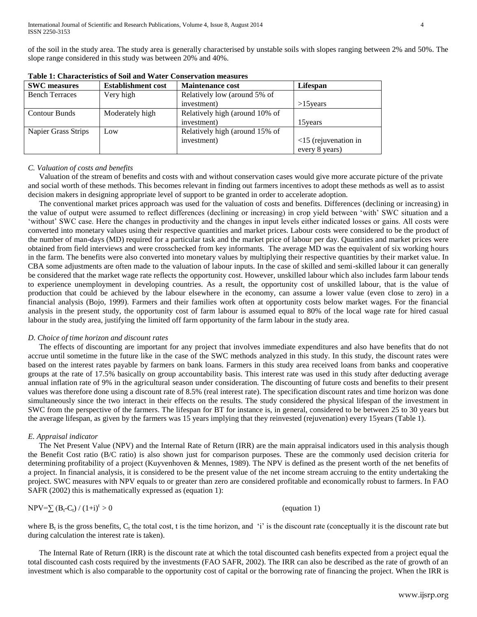of the soil in the study area. The study area is generally characterised by unstable soils with slopes ranging between 2% and 50%. The slope range considered in this study was between 20% and 40%.

| <b>SWC</b> measures   | <b>Establishment cost</b><br><b>Maintenance cost</b> |                                | Lifespan                      |
|-----------------------|------------------------------------------------------|--------------------------------|-------------------------------|
| <b>Bench Terraces</b> | Very high                                            | Relatively low (around 5% of   |                               |
|                       |                                                      | investment)                    | $>15$ years                   |
| <b>Contour Bunds</b>  | Moderately high                                      | Relatively high (around 10% of |                               |
|                       |                                                      | investment)                    | 15 years                      |
| Napier Grass Strips   | Low                                                  | Relatively high (around 15% of |                               |
|                       |                                                      | investment)                    | $\langle$ 15 (rejuvenation in |
|                       |                                                      |                                | every 8 years)                |

**Table 1: Characteristics of Soil and Water Conservation measures** 

## *C. Valuation of costs and benefits*

Valuation of the stream of benefits and costs with and without conservation cases would give more accurate picture of the private and social worth of these methods. This becomes relevant in finding out farmers incentives to adopt these methods as well as to assist decision makers in designing appropriate level of support to be granted in order to accelerate adoption.

The conventional market prices approach was used for the valuation of costs and benefits. Differences (declining or increasing) in the value of output were assumed to reflect differences (declining or increasing) in crop yield between 'with' SWC situation and a 'without' SWC case. Here the changes in productivity and the changes in input levels either indicated losses or gains. All costs were converted into monetary values using their respective quantities and market prices. Labour costs were considered to be the product of the number of man-days (MD) required for a particular task and the market price of labour per day. Quantities and market prices were obtained from field interviews and were crosschecked from key informants. The average MD was the equivalent of six working hours in the farm. The benefits were also converted into monetary values by multiplying their respective quantities by their market value. In CBA some adjustments are often made to the valuation of labour inputs. In the case of skilled and semi-skilled labour it can generally be considered that the market wage rate reflects the opportunity cost. However, unskilled labour which also includes farm labour tends to experience unemployment in developing countries. As a result, the opportunity cost of unskilled labour, that is the value of production that could be achieved by the labour elsewhere in the economy, can assume a lower value (even close to zero) in a financial analysis (Bojo, 1999). Farmers and their families work often at opportunity costs below market wages. For the financial analysis in the present study, the opportunity cost of farm labour is assumed equal to 80% of the local wage rate for hired casual labour in the study area, justifying the limited off farm opportunity of the farm labour in the study area.

# *D. Choice of time horizon and discount rates*

The effects of discounting are important for any project that involves immediate expenditures and also have benefits that do not accrue until sometime in the future like in the case of the SWC methods analyzed in this study. In this study, the discount rates were based on the interest rates payable by farmers on bank loans. Farmers in this study area received loans from banks and cooperative groups at the rate of 17.5% basically on group accountability basis. This interest rate was used in this study after deducting average annual inflation rate of 9% in the agricultural season under consideration. The discounting of future costs and benefits to their present values was therefore done using a discount rate of 8.5% (real interest rate). The specification discount rates and time horizon was done simultaneously since the two interact in their effects on the results. The study considered the physical lifespan of the investment in SWC from the perspective of the farmers. The lifespan for BT for instance is, in general, considered to be between 25 to 30 years but the average lifespan, as given by the farmers was 15 years implying that they reinvested (rejuvenation) every 15years (Table 1).

# *E. Appraisal indicator*

The Net Present Value (NPV) and the Internal Rate of Return (IRR) are the main appraisal indicators used in this analysis though the Benefit Cost ratio (B/C ratio) is also shown just for comparison purposes. These are the commonly used decision criteria for determining profitability of a project (Kuyvenhoven & Mennes, 1989). The NPV is defined as the present worth of the net benefits of a project. In financial analysis, it is considered to be the present value of the net income stream accruing to the entity undertaking the project. SWC measures with NPV equals to or greater than zero are considered profitable and economically robust to farmers. In FAO SAFR (2002) this is mathematically expressed as (equation 1):

$$
NPV = \sum (B_t - C_t) / (1+i)^t > 0
$$
 (equation 1)

where  $B_t$  is the gross benefits,  $C_t$  the total cost, t is the time horizon, and 'i' is the discount rate (conceptually it is the discount rate but during calculation the interest rate is taken).

The Internal Rate of Return (IRR) is the discount rate at which the total discounted cash benefits expected from a project equal the total discounted cash costs required by the investments (FAO SAFR, 2002). The IRR can also be described as the rate of growth of an investment which is also comparable to the opportunity cost of capital or the borrowing rate of financing the project. When the IRR is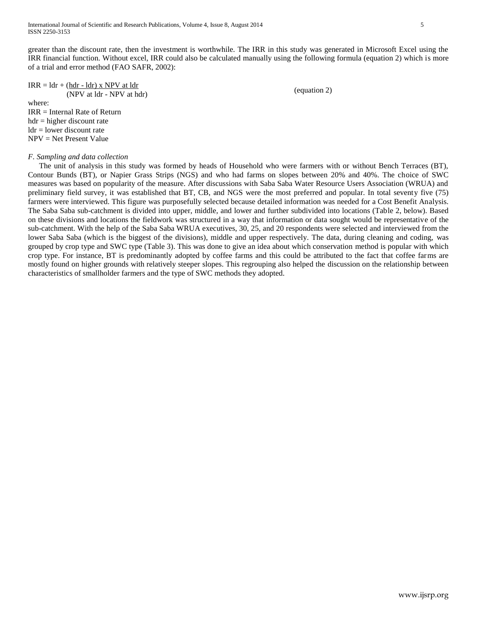greater than the discount rate, then the investment is worthwhile. The IRR in this study was generated in Microsoft Excel using the IRR financial function. Without excel, IRR could also be calculated manually using the following formula (equation 2) which is more of a trial and error method (FAO SAFR, 2002):

## $IRR = Idr + (hdr - 1dr)$  x NPV at  $ldr$ (NPV at ldr - NPV at hdr)

where:

IRR = Internal Rate of Return  $hdr = higher$  discount rate  $ldr =$  lower discount rate NPV = Net Present Value

# *F. Sampling and data collection*

The unit of analysis in this study was formed by heads of Household who were farmers with or without Bench Terraces (BT), Contour Bunds (BT), or Napier Grass Strips (NGS) and who had farms on slopes between 20% and 40%. The choice of SWC measures was based on popularity of the measure. After discussions with Saba Saba Water Resource Users Association (WRUA) and preliminary field survey, it was established that BT, CB, and NGS were the most preferred and popular. In total seventy five (75) farmers were interviewed. This figure was purposefully selected because detailed information was needed for a Cost Benefit Analysis. The Saba Saba sub-catchment is divided into upper, middle, and lower and further subdivided into locations (Table 2, below). Based on these divisions and locations the fieldwork was structured in a way that information or data sought would be representative of the sub-catchment. With the help of the Saba Saba WRUA executives, 30, 25, and 20 respondents were selected and interviewed from the lower Saba Saba (which is the biggest of the divisions), middle and upper respectively. The data, during cleaning and coding, was grouped by crop type and SWC type (Table 3). This was done to give an idea about which conservation method is popular with which crop type. For instance, BT is predominantly adopted by coffee farms and this could be attributed to the fact that coffee farms are mostly found on higher grounds with relatively steeper slopes. This regrouping also helped the discussion on the relationship between characteristics of smallholder farmers and the type of SWC methods they adopted.

(equation 2)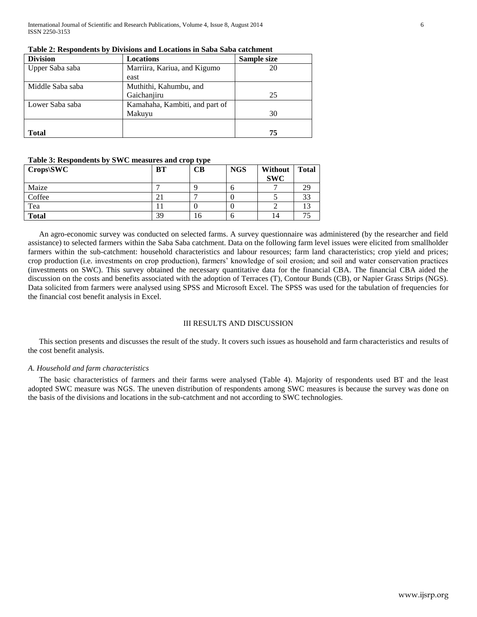International Journal of Scientific and Research Publications, Volume 4, Issue 8, August 2014 6 ISSN 2250-3153

| <b>Division</b>  | <b>Locations</b>               | Sample size |
|------------------|--------------------------------|-------------|
| Upper Saba saba  | Marriira, Kariua, and Kigumo   | 20          |
|                  | east                           |             |
| Middle Saba saba | Muthithi, Kahumbu, and         |             |
|                  | Gaichanjiru                    | 25          |
| Lower Saba saba  | Kamahaha, Kambiti, and part of |             |
|                  | Makuyu                         | 30          |
|                  |                                |             |
| <b>Total</b>     |                                | 75          |

## **Table 2: Respondents by Divisions and Locations in Saba Saba catchment**

# **Table 3: Respondents by SWC measures and crop type**

| $\sim$ 0.000 cm $\sim$ 0.000 cm $\sim$ 0.000 cm $\sim$ 0.000 cm $\sim$ 0.000 cm $\sim$ 0.000 cm $\sim$ 0.000 cm $\sim$ 0.000 cm $\sim$ 0.000 cm $\sim$ 0.000 cm $\sim$ 0.000 cm $\sim$ 0.000 cm $\sim$ 0.000 cm $\sim$ 0.000 cm $\sim$ 0.000 cm $\sim$ 0.000<br>Crops SWC | BT  | CВ | <b>NGS</b> | <b>Without</b><br><b>SWC</b> | <b>Total</b> |
|---------------------------------------------------------------------------------------------------------------------------------------------------------------------------------------------------------------------------------------------------------------------------|-----|----|------------|------------------------------|--------------|
| Maize                                                                                                                                                                                                                                                                     |     |    | n          |                              | 29           |
| Coffee                                                                                                                                                                                                                                                                    | ∠ I |    |            |                              | 33           |
| Tea                                                                                                                                                                                                                                                                       |     |    |            |                              |              |
| <b>Total</b>                                                                                                                                                                                                                                                              | 39  | 16 | n          | 14                           |              |

An agro-economic survey was conducted on selected farms. A survey questionnaire was administered (by the researcher and field assistance) to selected farmers within the Saba Saba catchment. Data on the following farm level issues were elicited from smallholder farmers within the sub-catchment: household characteristics and labour resources; farm land characteristics; crop yield and prices; crop production (i.e. investments on crop production), farmers' knowledge of soil erosion; and soil and water conservation practices (investments on SWC). This survey obtained the necessary quantitative data for the financial CBA. The financial CBA aided the discussion on the costs and benefits associated with the adoption of Terraces (T), Contour Bunds (CB), or Napier Grass Strips (NGS). Data solicited from farmers were analysed using SPSS and Microsoft Excel. The SPSS was used for the tabulation of frequencies for the financial cost benefit analysis in Excel.

## III RESULTS AND DISCUSSION

This section presents and discusses the result of the study. It covers such issues as household and farm characteristics and results of the cost benefit analysis.

# *A. Household and farm characteristics*

The basic characteristics of farmers and their farms were analysed (Table 4). Majority of respondents used BT and the least adopted SWC measure was NGS. The uneven distribution of respondents among SWC measures is because the survey was done on the basis of the divisions and locations in the sub-catchment and not according to SWC technologies.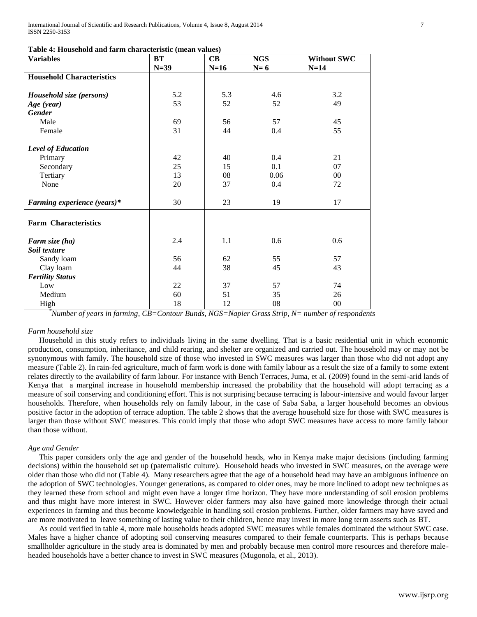| <b>Variables</b>                 | <b>BT</b> | $\mathbf C\mathbf B$ | <b>NGS</b> | <b>Without SWC</b> |
|----------------------------------|-----------|----------------------|------------|--------------------|
|                                  | $N=39$    | $N=16$               | $N=6$      | $N=14$             |
| <b>Household Characteristics</b> |           |                      |            |                    |
|                                  |           |                      |            |                    |
| Household size (persons)         | 5.2       | 5.3                  | 4.6        | 3.2                |
| Age (year)                       | 53        | 52                   | 52         | 49                 |
| <b>Gender</b>                    |           |                      |            |                    |
| Male                             | 69        | 56                   | 57         | 45                 |
| Female                           | 31        | 44                   | 0.4        | 55                 |
| <b>Level of Education</b>        |           |                      |            |                    |
| Primary                          | 42        | 40                   | 0.4        | 21                 |
| Secondary                        | 25        | 15                   | 0.1        | 07                 |
| Tertiary                         | 13        | 08                   | 0.06       | 00                 |
| None                             | 20        | 37                   | 0.4        | 72                 |
| Farming experience (years)*      | 30        | 23                   | 19         | 17                 |
| <b>Farm Characteristics</b>      |           |                      |            |                    |
|                                  |           |                      |            |                    |
| Farm size (ha)                   | 2.4       | 1.1                  | 0.6        | 0.6                |
| Soil texture                     |           |                      |            |                    |
| Sandy loam                       | 56        | 62                   | 55         | 57                 |
| Clay loam                        | 44        | 38                   | 45         | 43                 |
| <b>Fertility Status</b>          |           |                      |            |                    |
| Low                              | 22        | 37                   | 57         | 74                 |
| Medium                           | 60        | 51                   | 35         | 26                 |
| High                             | 18        | 12                   | 08         | $00\,$             |

*\*Number of years in farming, CB=Contour Bunds, NGS=Napier Grass Strip, N= number of respondents*

#### *Farm household size*

Household in this study refers to individuals living in the same dwelling. That is a basic residential unit in which economic production, consumption, inheritance, and child rearing, and shelter are organized and carried out. The household may or may not be synonymous with family. The household size of those who invested in SWC measures was larger than those who did not adopt any measure (Table 2). In rain-fed agriculture, much of farm work is done with family labour as a result the size of a family to some extent relates directly to the availability of farm labour. For instance with Bench Terraces, Juma, et al. (2009) found in the semi-arid lands of Kenya that a marginal increase in household membership increased the probability that the household will adopt terracing as a measure of soil conserving and conditioning effort. This is not surprising because terracing is labour-intensive and would favour larger households. Therefore, when households rely on family labour, in the case of Saba Saba, a larger household becomes an obvious positive factor in the adoption of terrace adoption. The table 2 shows that the average household size for those with SWC measures is larger than those without SWC measures. This could imply that those who adopt SWC measures have access to more family labour than those without.

#### *Age and Gender*

This paper considers only the age and gender of the household heads, who in Kenya make major decisions (including farming decisions) within the household set up (paternalistic culture). Household heads who invested in SWC measures, on the average were older than those who did not (Table 4). Many researchers agree that the age of a household head may have an ambiguous influence on the adoption of SWC technologies. Younger generations, as compared to older ones, may be more inclined to adopt new techniques as they learned these from school and might even have a longer time horizon. They have more understanding of soil erosion problems and thus might have more interest in SWC. However older farmers may also have gained more knowledge through their actual experiences in farming and thus become knowledgeable in handling soil erosion problems. Further, older farmers may have saved and are more motivated to leave something of lasting value to their children, hence may invest in more long term asserts such as BT.

As could verified in table 4, more male households heads adopted SWC measures while females dominated the without SWC case. Males have a higher chance of adopting soil conserving measures compared to their female counterparts. This is perhaps because smallholder agriculture in the study area is dominated by men and probably because men control more resources and therefore maleheaded households have a better chance to invest in SWC measures (Mugonola, et al., 2013).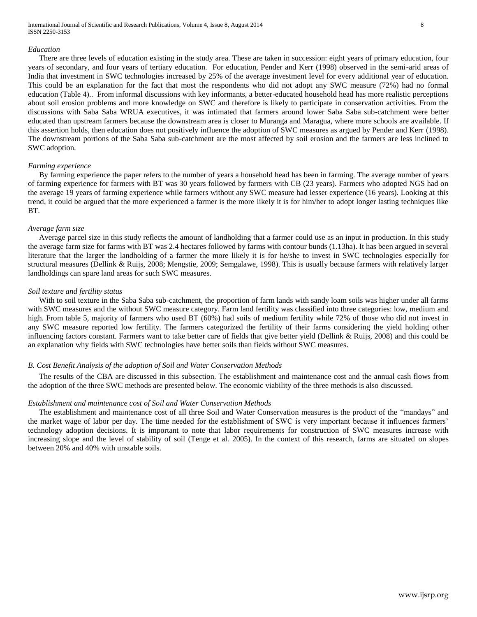International Journal of Scientific and Research Publications, Volume 4, Issue 8, August 2014 8 ISSN 2250-3153

#### *Education*

There are three levels of education existing in the study area. These are taken in succession: eight years of primary education, four years of secondary, and four years of tertiary education. For education, Pender and Kerr (1998) observed in the semi-arid areas of India that investment in SWC technologies increased by 25% of the average investment level for every additional year of education. This could be an explanation for the fact that most the respondents who did not adopt any SWC measure (72%) had no formal education (Table 4).. From informal discussions with key informants, a better-educated household head has more realistic perceptions about soil erosion problems and more knowledge on SWC and therefore is likely to participate in conservation activities. From the discussions with Saba Saba WRUA executives, it was intimated that farmers around lower Saba Saba sub-catchment were better educated than upstream farmers because the downstream area is closer to Muranga and Maragua, where more schools are available. If this assertion holds, then education does not positively influence the adoption of SWC measures as argued by Pender and Kerr (1998). The downstream portions of the Saba Saba sub-catchment are the most affected by soil erosion and the farmers are less inclined to SWC adoption.

## *Farming experience*

By farming experience the paper refers to the number of years a household head has been in farming. The average number of years of farming experience for farmers with BT was 30 years followed by farmers with CB (23 years). Farmers who adopted NGS had on the average 19 years of farming experience while farmers without any SWC measure had lesser experience (16 years). Looking at this trend, it could be argued that the more experienced a farmer is the more likely it is for him/her to adopt longer lasting techniques like BT.

#### *Average farm size*

Average parcel size in this study reflects the amount of landholding that a farmer could use as an input in production. In this study the average farm size for farms with BT was 2.4 hectares followed by farms with contour bunds (1.13ha). It has been argued in several literature that the larger the landholding of a farmer the more likely it is for he/she to invest in SWC technologies especially for structural measures (Dellink & Ruijs, 2008; Mengstie, 2009; Semgalawe, 1998). This is usually because farmers with relatively larger landholdings can spare land areas for such SWC measures.

#### *Soil texture and fertility status*

With to soil texture in the Saba Saba sub-catchment, the proportion of farm lands with sandy loam soils was higher under all farms with SWC measures and the without SWC measure category. Farm land fertility was classified into three categories: low, medium and high. From table 5, majority of farmers who used BT (60%) had soils of medium fertility while 72% of those who did not invest in any SWC measure reported low fertility. The farmers categorized the fertility of their farms considering the yield holding other influencing factors constant. Farmers want to take better care of fields that give better yield (Dellink & Ruijs, 2008) and this could be an explanation why fields with SWC technologies have better soils than fields without SWC measures.

#### *B. Cost Benefit Analysis of the adoption of Soil and Water Conservation Methods*

The results of the CBA are discussed in this subsection. The establishment and maintenance cost and the annual cash flows from the adoption of the three SWC methods are presented below. The economic viability of the three methods is also discussed.

## *Establishment and maintenance cost of Soil and Water Conservation Methods*

The establishment and maintenance cost of all three Soil and Water Conservation measures is the product of the "mandays" and the market wage of labor per day. The time needed for the establishment of SWC is very important because it influences farmers' technology adoption decisions. It is important to note that labor requirements for construction of SWC measures increase with increasing slope and the level of stability of soil (Tenge et al. 2005). In the context of this research, farms are situated on slopes between 20% and 40% with unstable soils.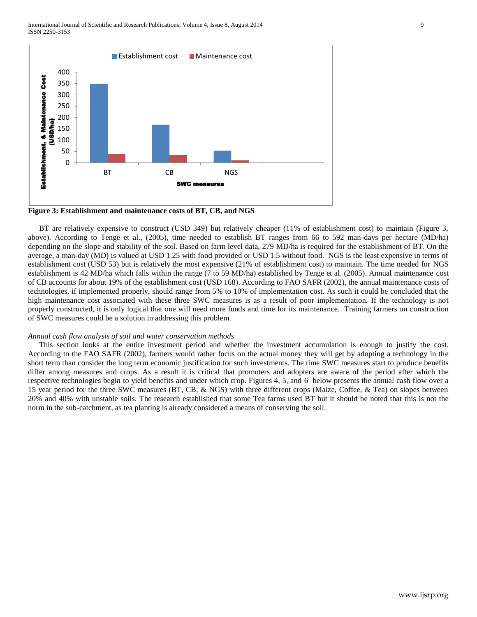

**Figure 3: Establishment and maintenance costs of BT, CB, and NGS**

BT are relatively expensive to construct (USD 349) but relatively cheaper (11% of establishment cost) to maintain (Figure 3, above). According to Tenge et al., (2005), time needed to establish BT ranges from 66 to 592 man-days per hectare (MD/ha) depending on the slope and stability of the soil. Based on farm level data, 279 MD/ha is required for the establishment of BT. On the average, a man-day (MD) is valued at USD 1.25 with food provided or USD 1.5 without food. NGS is the least expensive in terms of establishment cost (USD 53) but is relatively the most expensive (21% of establishment cost) to maintain. The time needed for NGS establishment is 42 MD/ha which falls within the range (7 to 59 MD/ha) established by Tenge et al. (2005). Annual maintenance cost of CB accounts for about 19% of the establishment cost (USD 168). According to FAO SAFR (2002), the annual maintenance costs of technologies, if implemented properly, should range from 5% to 10% of implementation cost. As such it could be concluded that the high maintenance cost associated with these three SWC measures is as a result of poor implementation. If the technology is not properly constructed, it is only logical that one will need more funds and time for its maintenance. Training farmers on construction of SWC measures could be a solution in addressing this problem.

#### *Annual cash flow analysis of soil and water conservation methods*

This section looks at the entire investment period and whether the investment accumulation is enough to justify the cost. According to the FAO SAFR (2002), farmers would rather focus on the actual money they will get by adopting a technology in the short term than consider the long term economic justification for such investments. The time SWC measures start to produce benefits differ among measures and crops. As a result it is critical that promoters and adopters are aware of the period after which the respective technologies begin to yield benefits and under which crop. Figures 4, 5, and 6 below presents the annual cash flow over a 15 year period for the three SWC measures (BT, CB, & NGS) with three different crops (Maize, Coffee, & Tea) on slopes between 20% and 40% with unstable soils. The research established that some Tea farms used BT but it should be noted that this is not the norm in the sub-catchment, as tea planting is already considered a means of conserving the soil.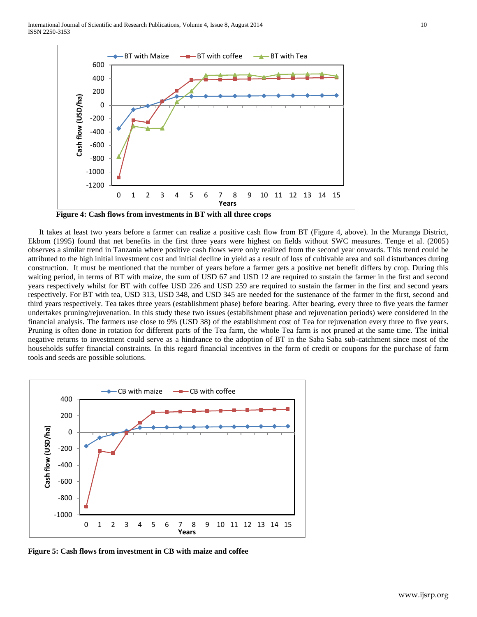International Journal of Scientific and Research Publications, Volume 4, Issue 8, August 2014 10 ISSN 2250-3153



**Figure 4: Cash flows from investments in BT with all three crops**

It takes at least two years before a farmer can realize a positive cash flow from BT (Figure 4, above). In the Muranga District, Ekbom (1995) found that net benefits in the first three years were highest on fields without SWC measures. Tenge et al. (2005) observes a similar trend in Tanzania where positive cash flows were only realized from the second year onwards. This trend could be attributed to the high initial investment cost and initial decline in yield as a result of loss of cultivable area and soil disturbances during construction. It must be mentioned that the number of years before a farmer gets a positive net benefit differs by crop. During this waiting period, in terms of BT with maize, the sum of USD 67 and USD 12 are required to sustain the farmer in the first and second years respectively whilst for BT with coffee USD 226 and USD 259 are required to sustain the farmer in the first and second years respectively. For BT with tea, USD 313, USD 348, and USD 345 are needed for the sustenance of the farmer in the first, second and third years respectively. Tea takes three years (establishment phase) before bearing. After bearing, every three to five years the farmer undertakes pruning/rejuvenation. In this study these two issues (establishment phase and rejuvenation periods) were considered in the financial analysis. The farmers use close to 9% (USD 38) of the establishment cost of Tea for rejuvenation every three to five years. Pruning is often done in rotation for different parts of the Tea farm, the whole Tea farm is not pruned at the same time. The initial negative returns to investment could serve as a hindrance to the adoption of BT in the Saba Saba sub-catchment since most of the households suffer financial constraints. In this regard financial incentives in the form of credit or coupons for the purchase of farm tools and seeds are possible solutions.



**Figure 5: Cash flows from investment in CB with maize and coffee**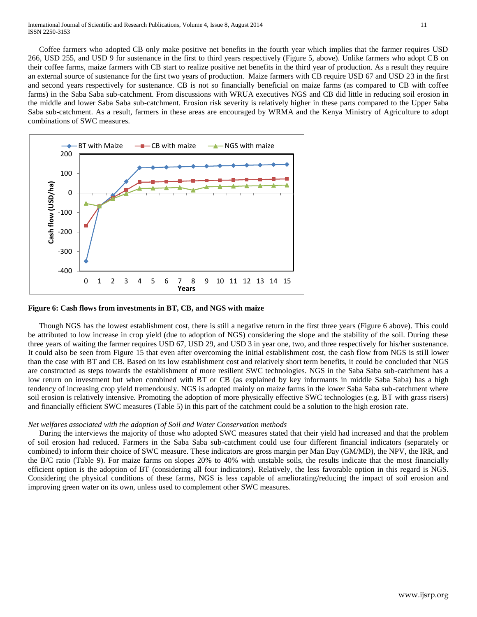Coffee farmers who adopted CB only make positive net benefits in the fourth year which implies that the farmer requires USD 266, USD 255, and USD 9 for sustenance in the first to third years respectively (Figure 5, above). Unlike farmers who adopt CB on their coffee farms, maize farmers with CB start to realize positive net benefits in the third year of production. As a result they require an external source of sustenance for the first two years of production. Maize farmers with CB require USD 67 and USD 23 in the first and second years respectively for sustenance. CB is not so financially beneficial on maize farms (as compared to CB with coffee farms) in the Saba Saba sub-catchment. From discussions with WRUA executives NGS and CB did little in reducing soil erosion in the middle and lower Saba Saba sub-catchment. Erosion risk severity is relatively higher in these parts compared to the Upper Saba Saba sub-catchment. As a result, farmers in these areas are encouraged by WRMA and the Kenya Ministry of Agriculture to adopt combinations of SWC measures.



## **Figure 6: Cash flows from investments in BT, CB, and NGS with maize**

Though NGS has the lowest establishment cost, there is still a negative return in the first three years (Figure 6 above). This could be attributed to low increase in crop yield (due to adoption of NGS) considering the slope and the stability of the soil. During these three years of waiting the farmer requires USD 67, USD 29, and USD 3 in year one, two, and three respectively for his/her sustenance. It could also be seen from Figure 15 that even after overcoming the initial establishment cost, the cash flow from NGS is still lower than the case with BT and CB. Based on its low establishment cost and relatively short term benefits, it could be concluded that NGS are constructed as steps towards the establishment of more resilient SWC technologies. NGS in the Saba Saba sub-catchment has a low return on investment but when combined with BT or CB (as explained by key informants in middle Saba Saba) has a high tendency of increasing crop yield tremendously. NGS is adopted mainly on maize farms in the lower Saba Saba sub-catchment where soil erosion is relatively intensive. Promoting the adoption of more physically effective SWC technologies (e.g. BT with grass risers) and financially efficient SWC measures (Table 5) in this part of the catchment could be a solution to the high erosion rate.

## *Net welfares associated with the adoption of Soil and Water Conservation methods*

During the interviews the majority of those who adopted SWC measures stated that their yield had increased and that the problem of soil erosion had reduced. Farmers in the Saba Saba sub-catchment could use four different financial indicators (separately or combined) to inform their choice of SWC measure. These indicators are gross margin per Man Day (GM/MD), the NPV, the IRR, and the B/C ratio (Table 9). For maize farms on slopes 20% to 40% with unstable soils, the results indicate that the most financially efficient option is the adoption of BT (considering all four indicators). Relatively, the less favorable option in this regard is NGS. Considering the physical conditions of these farms, NGS is less capable of ameliorating/reducing the impact of soil erosion and improving green water on its own, unless used to complement other SWC measures.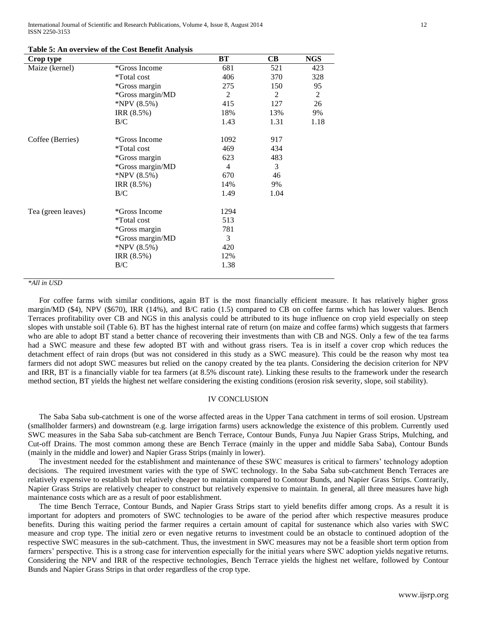International Journal of Scientific and Research Publications, Volume 4, Issue 8, August 2014 12 ISSN 2250-3153

| Crop type          |                    | $B$ T          | <b>CB</b> | <b>NGS</b>     |
|--------------------|--------------------|----------------|-----------|----------------|
| Maize (kernel)     | *Gross Income      | 681            | 521       | 423            |
|                    | <i>*Total cost</i> | 406            | 370       | 328            |
|                    | *Gross margin      | 275            | 150       | 95             |
|                    | *Gross margin/MD   | 2              | 2         | $\overline{2}$ |
|                    | *NPV $(8.5\%)$     | 415            | 127       | 26             |
|                    | IRR (8.5%)         | 18%            | 13%       | 9%             |
|                    | B/C                | 1.43           | 1.31      | 1.18           |
| Coffee (Berries)   | *Gross Income      | 1092           | 917       |                |
|                    | *Total cost        | 469            | 434       |                |
|                    | *Gross margin      | 623            | 483       |                |
|                    | *Gross margin/MD   | $\overline{4}$ | 3         |                |
|                    | *NPV $(8.5\%)$     | 670            | 46        |                |
|                    | IRR (8.5%)         | 14%            | 9%        |                |
|                    | B/C                | 1.49           | 1.04      |                |
| Tea (green leaves) | *Gross Income      | 1294           |           |                |
|                    | <i>*Total cost</i> | 513            |           |                |
|                    | *Gross margin      | 781            |           |                |
|                    | *Gross margin/MD   | 3              |           |                |
|                    | *NPV $(8.5\%)$     | 420            |           |                |
|                    | IRR (8.5%)         | 12%            |           |                |
|                    | B/C                | 1.38           |           |                |
|                    |                    |                |           |                |

#### **Table 5: An overview of the Cost Benefit Analysis**

#### *\*All in USD*

For coffee farms with similar conditions, again BT is the most financially efficient measure. It has relatively higher gross margin/MD (\$4), NPV (\$670), IRR (14%), and B/C ratio (1.5) compared to CB on coffee farms which has lower values. Bench Terraces profitability over CB and NGS in this analysis could be attributed to its huge influence on crop yield especially on steep slopes with unstable soil (Table 6). BT has the highest internal rate of return (on maize and coffee farms) which suggests that farmers who are able to adopt BT stand a better chance of recovering their investments than with CB and NGS. Only a few of the tea farms had a SWC measure and these few adopted BT with and without grass risers. Tea is in itself a cover crop which reduces the detachment effect of rain drops (but was not considered in this study as a SWC measure). This could be the reason why most tea farmers did not adopt SWC measures but relied on the canopy created by the tea plants. Considering the decision criterion for NPV and IRR, BT is a financially viable for tea farmers (at 8.5% discount rate). Linking these results to the framework under the research method section, BT yields the highest net welfare considering the existing conditions (erosion risk severity, slope, soil stability).

## IV CONCLUSION

The Saba Saba sub-catchment is one of the worse affected areas in the Upper Tana catchment in terms of soil erosion. Upstream (smallholder farmers) and downstream (e.g. large irrigation farms) users acknowledge the existence of this problem. Currently used SWC measures in the Saba Saba sub-catchment are Bench Terrace, Contour Bunds, Funya Juu Napier Grass Strips, Mulching, and Cut-off Drains. The most common among these are Bench Terrace (mainly in the upper and middle Saba Saba), Contour Bunds (mainly in the middle and lower) and Napier Grass Strips (mainly in lower).

The investment needed for the establishment and maintenance of these SWC measures is critical to farmers' technology adoption decisions. The required investment varies with the type of SWC technology. In the Saba Saba sub-catchment Bench Terraces are relatively expensive to establish but relatively cheaper to maintain compared to Contour Bunds, and Napier Grass Strips. Contrarily, Napier Grass Strips are relatively cheaper to construct but relatively expensive to maintain. In general, all three measures have high maintenance costs which are as a result of poor establishment.

The time Bench Terrace, Contour Bunds, and Napier Grass Strips start to yield benefits differ among crops. As a result it is important for adopters and promoters of SWC technologies to be aware of the period after which respective measures produce benefits. During this waiting period the farmer requires a certain amount of capital for sustenance which also varies with SWC measure and crop type. The initial zero or even negative returns to investment could be an obstacle to continued adoption of the respective SWC measures in the sub-catchment. Thus, the investment in SWC measures may not be a feasible short term option from farmers' perspective. This is a strong case for intervention especially for the initial years where SWC adoption yields negative returns. Considering the NPV and IRR of the respective technologies, Bench Terrace yields the highest net welfare, followed by Contour Bunds and Napier Grass Strips in that order regardless of the crop type.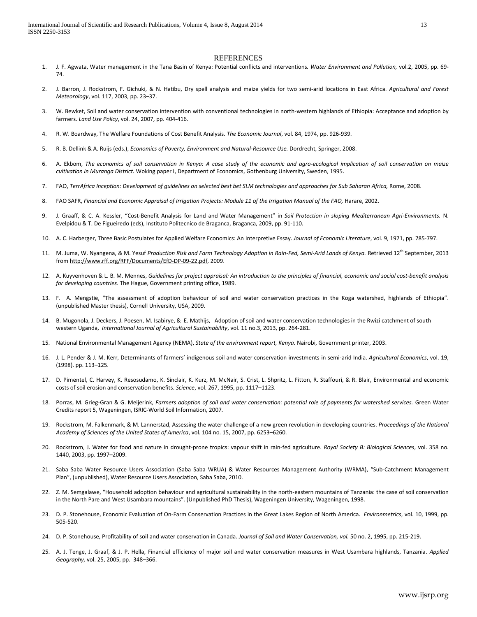#### **REFERENCES**

- 1. J. F. Agwata, Water management in the Tana Basin of Kenya: Potential conflicts and interventions*. Water Environment and Pollution,* vol*.*2, 2005, pp. 69- 74.
- 2. J. Barron, J. Rockstrom, F. Gichuki, & N. Hatibu, Dry spell analysis and maize yields for two semi-arid locations in East Africa. *Agricultural and Forest Meteorology*, vol. 117, 2003, pp. 23–37.
- 3. W. Bewket, Soil and water conservation intervention with conventional technologies in north-western highlands of Ethiopia: Acceptance and adoption by farmers. *Land Use Policy*, vol. 24, 2007, pp. 404-416.
- 4. R. W. Boardway, The Welfare Foundations of Cost Benefit Analysis. *The Economic Journal*, vol. 84, 1974, pp. 926-939.
- 5. R. B. Dellink & A. Ruijs (eds.), *Economics of Poverty, Environment and Natural-Resource Use.* Dordrecht, Springer, 2008.
- 6. A. Ekbom, *The economics of soil conservation in Kenya: A case study of the economic and agro-ecological implication of soil conservation on maize cultivation in Muranga District.* Woking paper I, Department of Economics, Gothenburg University, Sweden, 1995.
- 7. FAO, *TerrAfrica Inception: Development of guidelines on selected best bet SLM technologies and approaches for Sub Saharan Africa,* Rome, 2008.
- 8. FAO SAFR, *Financial and Economic Appraisal of Irrigation Projects: Module 11 of the Irrigation Manual of the FAO,* Harare, 2002.
- 9. J. Graaff, & C. A. Kessler, "Cost-Benefit Analysis for Land and Water Management" in *Soil Protection in sloping Mediterranean Agri-Environments.* N. Evelpidou & T. De Figueiredo (eds), Instituto Politecnico de Braganca, Braganca, 2009, pp. 91-110.
- 10. A. C. Harberger, Three Basic Postulates for Applied Welfare Economics: An Interpretive Essay. *Journal of Economic Literature*, vol. 9, 1971, pp. 785-797.
- 11. M. Juma, W. Nyangena, & M. Yesuf *Production Risk and Farm Technology Adoption in Rain-Fed, Semi-Arid Lands of Kenya.* Retrieved 12th September, 2013 fro[m http://www.rff.org/RFF/Documents/EfD-DP-09-22.pdf,](http://www.rff.org/RFF/Documents/EfD-DP-09-22.pdf) 2009.
- 12. A. Kuyvenhoven & L. B. M. Mennes, *Guidelines for project appraisal: An introduction to the principles of financial, economic and social cost-benefit analysis for developing countries*. The Hague, Government printing office, 1989.
- 13. F. A. Mengstie, "The assessment of adoption behaviour of soil and water conservation practices in the Koga watershed, highlands of Ethiopia". (unpublished Master thesis), Cornell University, USA, 2009.
- 14. B[. Mugonola,](http://www.tandfonline.com/action/doSearch?action=runSearch&type=advanced&searchType=journal&result=true&prevSearch=%2Bauthorsfield%3A(Mugonola%2C+B)) J. Deckers, J. Poesen, M. Isabirye, & E. [Mathijs,](http://www.tandfonline.com/action/doSearch?action=runSearch&type=advanced&searchType=journal&result=true&prevSearch=%2Bauthorsfield%3A(Mathijs%2C+E)) Adoption of soil and water conservation technologies in the Rwizi catchment of south western Uganda, *International Journal of Agricultural Sustainability*, vol[. 11](http://www.tandfonline.com/loi/tags20?open=11#vol_11) [no.3,](http://www.tandfonline.com/toc/tags20/11/3) 2013, pp. 264-281.
- 15. National Environmental Management Agency (NEMA), *State of the environment report, Kenya.* Nairobi, Government printer, 2003.
- 16. J. L. Pender & J. M. Kerr, Determinants of farmers' indigenous soil and water conservation investments in semi-arid India. *Agricultural Economics*, vol. 19, (1998). pp. 113–125.
- 17. D. Pimentel, C. Harvey, K. Resosudamo, K. Sinclair, K. Kurz, M. McNair, S. Crist, L. Shpritz, L. Fitton, R. Staffouri, & R. Blair, Environmental and economic costs of soil erosion and conservation benefits. *Science*, vol. 267, 1995, pp. 1117–1123.
- 18. Porras, M. Grieg-Gran & G. Meijerink, *Farmers adoption of soil and water conservation: potential role of payments for watershed services.* Green Water Credits report 5, Wageningen, ISRIC-World Soil Information, 2007*.*
- 19. Rockstrom, M. Falkenmark, & M. Lannerstad, Assessing the water challenge of a new green revolution in developing countries. *Proceedings of the National Academy of Sciences of the United States of America*, vol. 104 no. 15, 2007, pp. 6253–6260.
- 20. Rockstrom, J. Water for food and nature in drought-prone tropics: vapour shift in rain-fed agriculture. *Royal Society B: Biological Sciences*, vol. 358 no. 1440, 2003, pp. 1997–2009.
- 21. Saba Saba Water Resource Users Association (Saba Saba WRUA) & Water Resources Management Authority (WRMA), "Sub-Catchment Management Plan", (unpublished), Water Resource Users Association, Saba Saba, 2010.
- 22. Z. M. Semgalawe, "Household adoption behaviour and agricultural sustainability in the north-eastern mountains of Tanzania: the case of soil conservation in the North Pare and West Usambara mountains". (Unpublished PhD Thesis), Wageningen University, Wageningen, 1998.
- 23. D. P. Stonehouse, Economic Evaluation of On-Farm Conservation Practices in the Great Lakes Region of North America. *Environmetrics*, vol. 10, 1999, pp. 505-520.
- 24. D. P. Stonehouse, Profitability of soil and water conservation in Canada. *Journal of Soil and Water Conservation, vol.* 50 no. 2, 1995, pp. 215-219.
- 25. A. J. Tenge, J. Graaf, & J. P. Hella, Financial efficiency of major soil and water conservation measures in West Usambara highlands, Tanzania. *Applied Geography,* vol. 25, 2005, pp. 348–366.